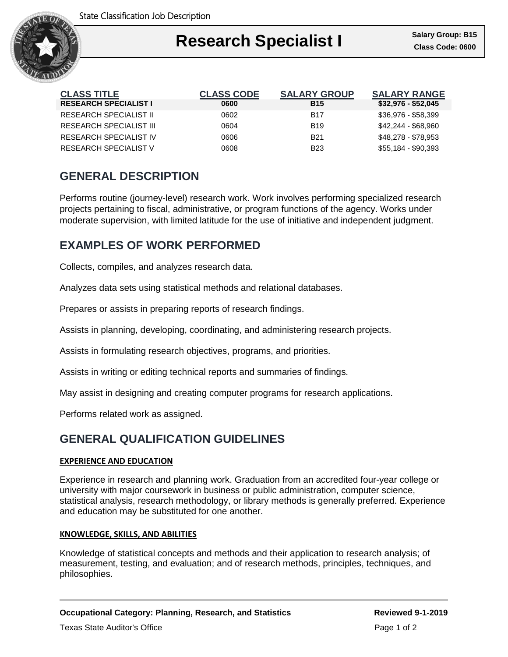

## Ι **Research Specialist I Class Code: 0600**

| <b>CLASS TITLE</b>             | <b>CLASS CODE</b> | <b>SALARY GROUP</b> | <b>SALARY RANGE</b> |
|--------------------------------|-------------------|---------------------|---------------------|
| <b>RESEARCH SPECIALIST I</b>   | 0600              | <b>B15</b>          | $$32,976 - $52,045$ |
| <b>RESEARCH SPECIALIST II</b>  | 0602              | <b>B17</b>          | $$36.976 - $58.399$ |
| <b>RESEARCH SPECIALIST III</b> | 0604              | <b>B</b> 19         | \$42,244 - \$68,960 |
| <b>RESEARCH SPECIALIST IV</b>  | 0606              | <b>B21</b>          | \$48,278 - \$78,953 |
| RESEARCH SPECIALIST V          | 8060              | <b>B23</b>          | \$55,184 - \$90,393 |

# **GENERAL DESCRIPTION**

Performs routine (journey-level) research work. Work involves performing specialized research projects pertaining to fiscal, administrative, or program functions of the agency. Works under moderate supervision, with limited latitude for the use of initiative and independent judgment.

## **EXAMPLES OF WORK PERFORMED**

Collects, compiles, and analyzes research data.

Analyzes data sets using statistical methods and relational databases.

Prepares or assists in preparing reports of research findings.

Assists in planning, developing, coordinating, and administering research projects.

Assists in formulating research objectives, programs, and priorities.

Assists in writing or editing technical reports and summaries of findings.

May assist in designing and creating computer programs for research applications.

Performs related work as assigned.

## **GENERAL QUALIFICATION GUIDELINES**

#### **EXPERIENCE AND EDUCATION**

Experience in research and planning work. Graduation from an accredited four-year college or university with major coursework in business or public administration, computer science, statistical analysis, research methodology, or library methods is generally preferred. Experience and education may be substituted for one another.

#### **KNOWLEDGE, SKILLS, AND ABILITIES**

Knowledge of statistical concepts and methods and their application to research analysis; of measurement, testing, and evaluation; and of research methods, principles, techniques, and philosophies.